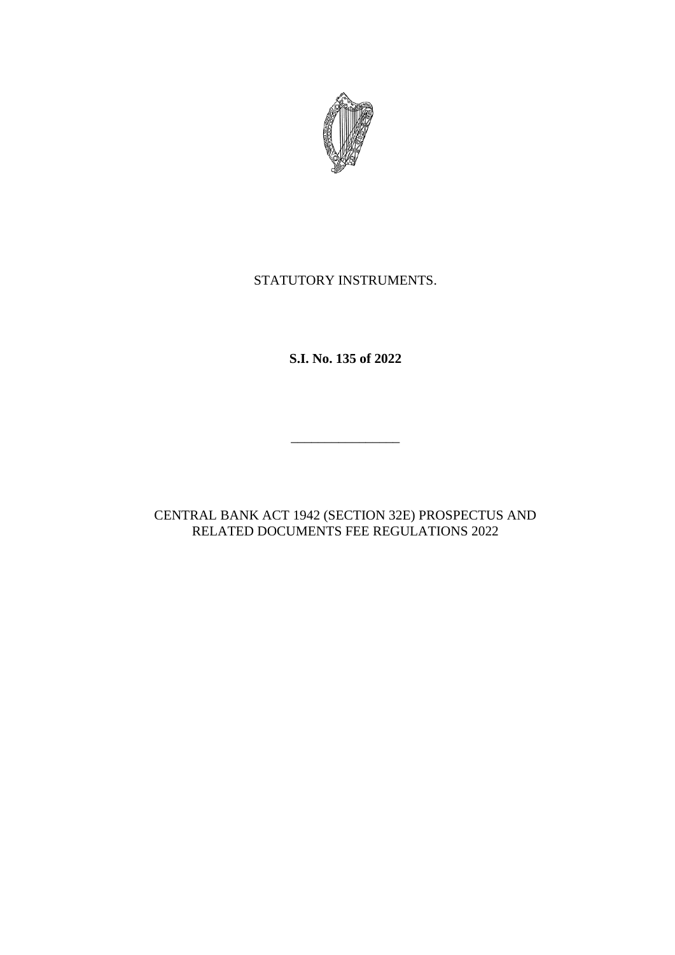

# STATUTORY INSTRUMENTS.

**S.I. No. 135 of 2022**

 $\frac{1}{\sqrt{2}}$  ,  $\frac{1}{\sqrt{2}}$  ,  $\frac{1}{\sqrt{2}}$  ,  $\frac{1}{\sqrt{2}}$  ,  $\frac{1}{\sqrt{2}}$  ,  $\frac{1}{\sqrt{2}}$  ,  $\frac{1}{\sqrt{2}}$  ,  $\frac{1}{\sqrt{2}}$  ,  $\frac{1}{\sqrt{2}}$  ,  $\frac{1}{\sqrt{2}}$  ,  $\frac{1}{\sqrt{2}}$  ,  $\frac{1}{\sqrt{2}}$  ,  $\frac{1}{\sqrt{2}}$  ,  $\frac{1}{\sqrt{2}}$  ,  $\frac{1}{\sqrt{2}}$ 

CENTRAL BANK ACT 1942 (SECTION 32E) PROSPECTUS AND RELATED DOCUMENTS FEE REGULATIONS 2022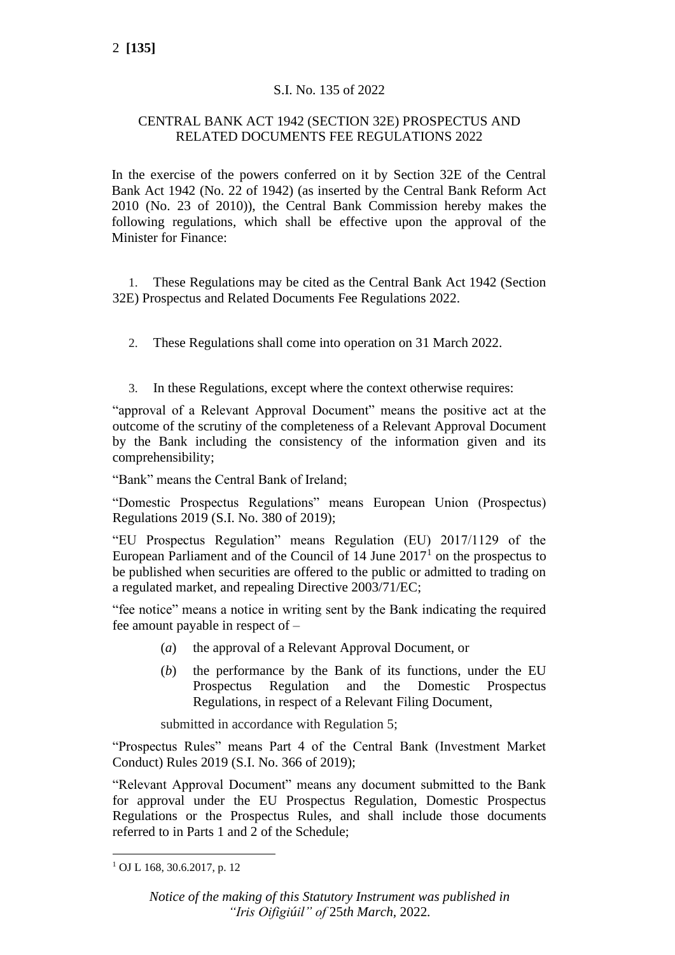# S.I. No. 135 of 2022

### CENTRAL BANK ACT 1942 (SECTION 32E) PROSPECTUS AND RELATED DOCUMENTS FEE REGULATIONS 2022

In the exercise of the powers conferred on it by Section 32E of the Central Bank Act 1942 (No. 22 of 1942) (as inserted by the Central Bank Reform Act 2010 (No. 23 of 2010)), the Central Bank Commission hereby makes the following regulations, which shall be effective upon the approval of the Minister for Finance:

1. These Regulations may be cited as the Central Bank Act 1942 (Section 32E) Prospectus and Related Documents Fee Regulations 2022.

- 2. These Regulations shall come into operation on 31 March 2022.
- 3. In these Regulations, except where the context otherwise requires:

"approval of a Relevant Approval Document" means the positive act at the outcome of the scrutiny of the completeness of a Relevant Approval Document by the Bank including the consistency of the information given and its comprehensibility;

"Bank" means the Central Bank of Ireland;

"Domestic Prospectus Regulations" means European Union (Prospectus) Regulations 2019 (S.I. No. 380 of 2019);

"EU Prospectus Regulation" means Regulation (EU) 2017/1129 of the European Parliament and of the Council of  $14$  June  $2017<sup>1</sup>$  on the prospectus to be published when securities are offered to the public or admitted to trading on a regulated market, and repealing Directive 2003/71/EC;

"fee notice" means a notice in writing sent by the Bank indicating the required fee amount payable in respect of –

- (*a*) the approval of a Relevant Approval Document, or
- (*b*) the performance by the Bank of its functions, under the EU Prospectus Regulation and the Domestic Prospectus Regulations, in respect of a Relevant Filing Document,

submitted in accordance with Regulation 5;

"Prospectus Rules" means Part 4 of the Central Bank (Investment Market Conduct) Rules 2019 (S.I. No. 366 of 2019);

"Relevant Approval Document" means any document submitted to the Bank for approval under the EU Prospectus Regulation, Domestic Prospectus Regulations or the Prospectus Rules, and shall include those documents referred to in Parts 1 and 2 of the Schedule;

<sup>1</sup> OJ L 168, 30.6.2017, p. 12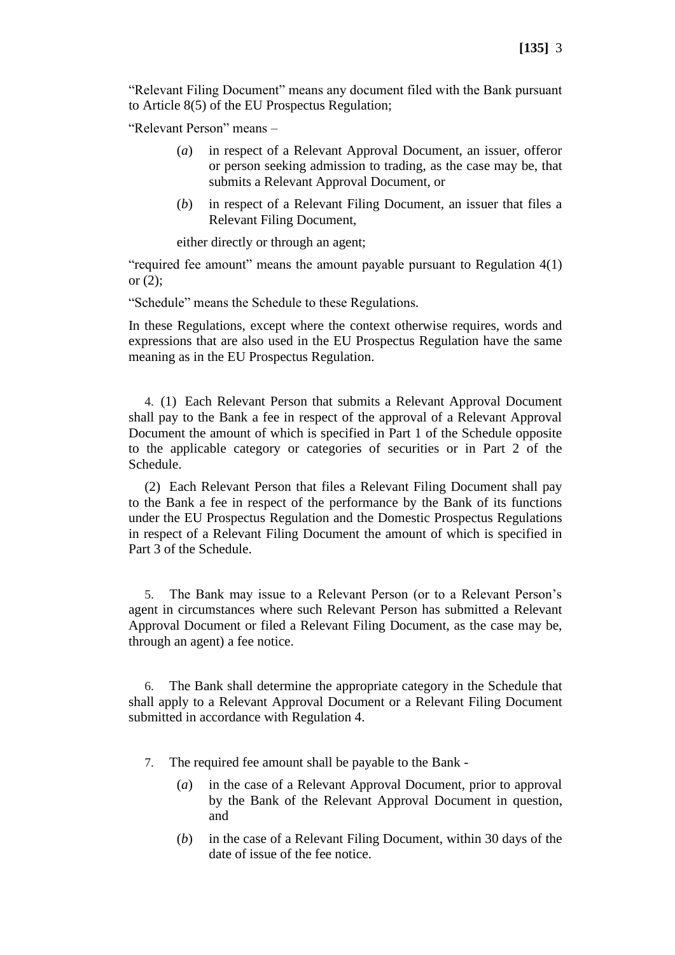"Relevant Filing Document" means any document filed with the Bank pursuant to Article 8(5) of the EU Prospectus Regulation;

"Relevant Person" means –

- (*a*) in respect of a Relevant Approval Document, an issuer, offeror or person seeking admission to trading, as the case may be, that submits a Relevant Approval Document, or
- (*b*) in respect of a Relevant Filing Document, an issuer that files a Relevant Filing Document,

either directly or through an agent;

"required fee amount" means the amount payable pursuant to Regulation 4(1) or (2);

"Schedule" means the Schedule to these Regulations*.*

In these Regulations, except where the context otherwise requires, words and expressions that are also used in the EU Prospectus Regulation have the same meaning as in the EU Prospectus Regulation.

4. (1) Each Relevant Person that submits a Relevant Approval Document shall pay to the Bank a fee in respect of the approval of a Relevant Approval Document the amount of which is specified in Part 1 of the Schedule opposite to the applicable category or categories of securities or in Part 2 of the Schedule.

(2) Each Relevant Person that files a Relevant Filing Document shall pay to the Bank a fee in respect of the performance by the Bank of its functions under the EU Prospectus Regulation and the Domestic Prospectus Regulations in respect of a Relevant Filing Document the amount of which is specified in Part 3 of the Schedule.

5. The Bank may issue to a Relevant Person (or to a Relevant Person's agent in circumstances where such Relevant Person has submitted a Relevant Approval Document or filed a Relevant Filing Document, as the case may be, through an agent) a fee notice.

6. The Bank shall determine the appropriate category in the Schedule that shall apply to a Relevant Approval Document or a Relevant Filing Document submitted in accordance with Regulation 4.

- 7. The required fee amount shall be payable to the Bank
	- (*a*) in the case of a Relevant Approval Document, prior to approval by the Bank of the Relevant Approval Document in question, and
	- (*b*) in the case of a Relevant Filing Document, within 30 days of the date of issue of the fee notice.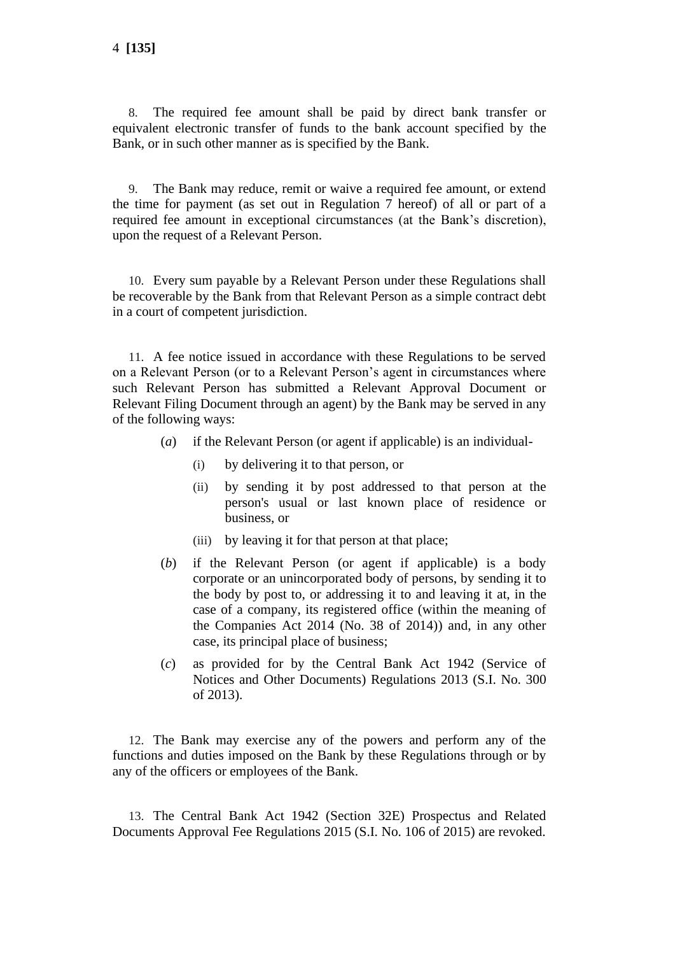8. The required fee amount shall be paid by direct bank transfer or equivalent electronic transfer of funds to the bank account specified by the Bank, or in such other manner as is specified by the Bank.

9. The Bank may reduce, remit or waive a required fee amount, or extend the time for payment (as set out in Regulation 7 hereof) of all or part of a required fee amount in exceptional circumstances (at the Bank's discretion), upon the request of a Relevant Person.

10. Every sum payable by a Relevant Person under these Regulations shall be recoverable by the Bank from that Relevant Person as a simple contract debt in a court of competent jurisdiction.

11. A fee notice issued in accordance with these Regulations to be served on a Relevant Person (or to a Relevant Person's agent in circumstances where such Relevant Person has submitted a Relevant Approval Document or Relevant Filing Document through an agent) by the Bank may be served in any of the following ways:

- (*a*) if the Relevant Person (or agent if applicable) is an individual-
	- (i) by delivering it to that person, or
	- (ii) by sending it by post addressed to that person at the person's usual or last known place of residence or business, or
	- (iii) by leaving it for that person at that place;
- (*b*) if the Relevant Person (or agent if applicable) is a body corporate or an unincorporated body of persons, by sending it to the body by post to, or addressing it to and leaving it at, in the case of a company, its registered office (within the meaning of the Companies Act 2014 (No. 38 of 2014)) and, in any other case, its principal place of business;
- (*c*) as provided for by the Central Bank Act 1942 (Service of Notices and Other Documents) Regulations 2013 (S.I. No. 300 of 2013).

12. The Bank may exercise any of the powers and perform any of the functions and duties imposed on the Bank by these Regulations through or by any of the officers or employees of the Bank.

13. The Central Bank Act 1942 (Section 32E) Prospectus and Related Documents Approval Fee Regulations 2015 (S.I. No. 106 of 2015) are revoked.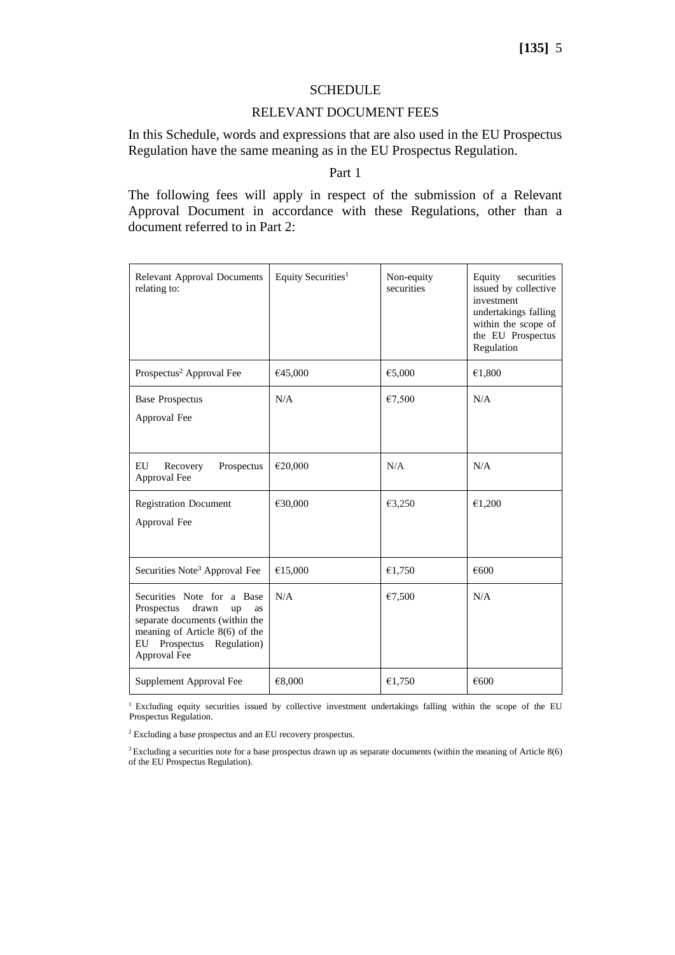## **[135]** 5

#### SCHEDULE

### RELEVANT DOCUMENT FEES

In this Schedule, words and expressions that are also used in the EU Prospectus Regulation have the same meaning as in the EU Prospectus Regulation.

### Part 1

The following fees will apply in respect of the submission of a Relevant Approval Document in accordance with these Regulations, other than a document referred to in Part 2:

| <b>Relevant Approval Documents</b><br>relating to:                                                                                                                                  | Equity Securities <sup>1</sup> | Non-equity<br>securities | securities<br>Equity<br>issued by collective<br>investment<br>undertakings falling<br>within the scope of<br>the EU Prospectus<br>Regulation |
|-------------------------------------------------------------------------------------------------------------------------------------------------------------------------------------|--------------------------------|--------------------------|----------------------------------------------------------------------------------------------------------------------------------------------|
| Prospectus <sup>2</sup> Approval Fee                                                                                                                                                | €45,000                        | €5,000                   | €1,800                                                                                                                                       |
| <b>Base Prospectus</b><br>Approval Fee                                                                                                                                              | N/A                            | €7,500                   | N/A                                                                                                                                          |
| EU<br>Recovery<br>Prospectus<br>Approval Fee                                                                                                                                        | €20,000                        | N/A                      | N/A                                                                                                                                          |
| <b>Registration Document</b><br>Approval Fee                                                                                                                                        | €30,000                        | €3,250                   | €1,200                                                                                                                                       |
| Securities Note <sup>3</sup> Approval Fee                                                                                                                                           | €15,000                        | €1,750                   | €600                                                                                                                                         |
| Securities Note for a Base<br>drawn<br>Prospectus<br>up<br>as<br>separate documents (within the<br>meaning of Article $8(6)$ of the<br>Prospectus Regulation)<br>EU<br>Approval Fee | N/A                            | €7,500                   | N/A                                                                                                                                          |
| Supplement Approval Fee                                                                                                                                                             | €8,000                         | €1,750                   | €600                                                                                                                                         |

<sup>1</sup> Excluding equity securities issued by collective investment undertakings falling within the scope of the EU Prospectus Regulation.

<sup>2</sup> Excluding a base prospectus and an EU recovery prospectus.

<sup>&</sup>lt;sup>3</sup> Excluding a securities note for a base prospectus drawn up as separate documents (within the meaning of Article 8(6) of the EU Prospectus Regulation).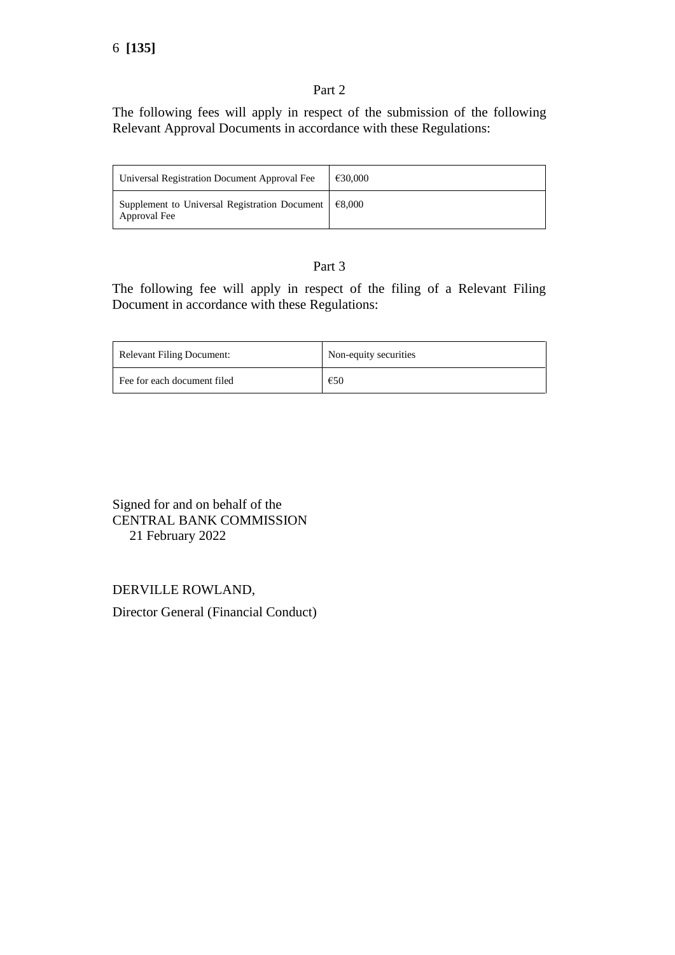### Part 2

The following fees will apply in respect of the submission of the following Relevant Approval Documents in accordance with these Regulations:

| Universal Registration Document Approval Fee                              | €30,000 |
|---------------------------------------------------------------------------|---------|
| Supplement to Universal Registration Document $\in$ 8,000<br>Approval Fee |         |

## Part 3

The following fee will apply in respect of the filing of a Relevant Filing Document in accordance with these Regulations:

| <b>Relevant Filing Document:</b> | Non-equity securities |
|----------------------------------|-----------------------|
| Fee for each document filed      | €50                   |

Signed for and on behalf of the CENTRAL BANK COMMISSION 21 February 2022

DERVILLE ROWLAND,

Director General (Financial Conduct)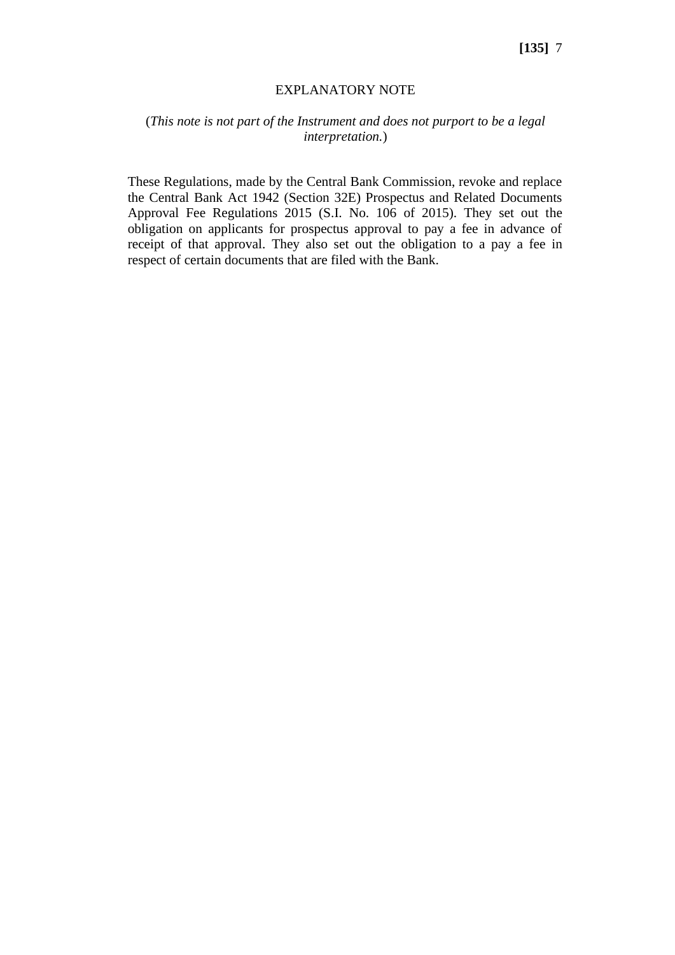#### EXPLANATORY NOTE

### (*This note is not part of the Instrument and does not purport to be a legal interpretation.*)

These Regulations, made by the Central Bank Commission, revoke and replace the Central Bank Act 1942 (Section 32E) Prospectus and Related Documents Approval Fee Regulations 2015 (S.I. No. 106 of 2015). They set out the obligation on applicants for prospectus approval to pay a fee in advance of receipt of that approval. They also set out the obligation to a pay a fee in respect of certain documents that are filed with the Bank.